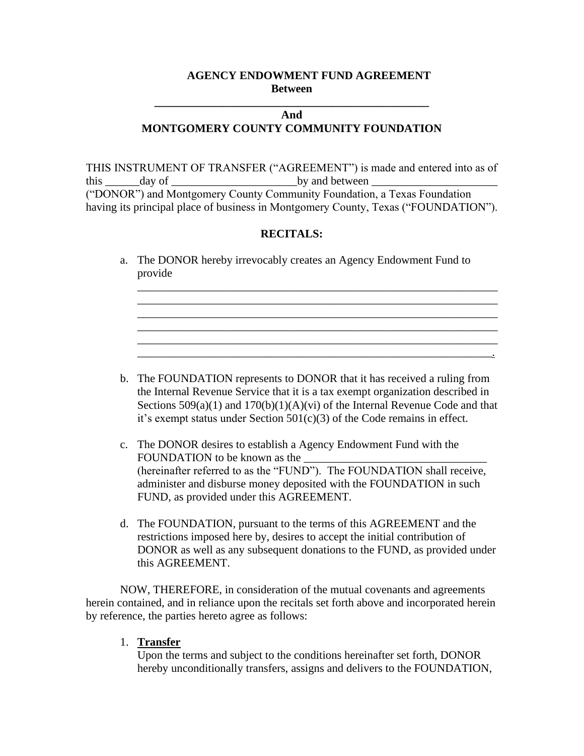## **AGENCY ENDOWMENT FUND AGREEMENT Between**

# **And MONTGOMERY COUNTY COMMUNITY FOUNDATION**

**\_\_\_\_\_\_\_\_\_\_\_\_\_\_\_\_\_\_\_\_\_\_\_\_\_\_\_\_\_\_\_\_\_\_\_\_\_\_\_\_\_\_\_\_\_\_\_\_**

THIS INSTRUMENT OF TRANSFER ("AGREEMENT") is made and entered into as of this \_\_\_\_\_\_day of \_\_\_\_\_\_\_\_\_\_\_\_\_\_\_\_\_\_\_\_\_\_by and between \_\_\_\_\_\_\_\_\_\_\_\_\_\_\_\_\_\_\_\_\_\_ ("DONOR") and Montgomery County Community Foundation, a Texas Foundation having its principal place of business in Montgomery County, Texas ("FOUNDATION").

# **RECITALS:**

a. The DONOR hereby irrevocably creates an Agency Endowment Fund to provide

\_\_\_\_\_\_\_\_\_\_\_\_\_\_\_\_\_\_\_\_\_\_\_\_\_\_\_\_\_\_\_\_\_\_\_\_\_\_\_\_\_\_\_\_\_\_\_\_\_\_\_\_\_\_\_\_\_\_\_\_\_\_\_ \_\_\_\_\_\_\_\_\_\_\_\_\_\_\_\_\_\_\_\_\_\_\_\_\_\_\_\_\_\_\_\_\_\_\_\_\_\_\_\_\_\_\_\_\_\_\_\_\_\_\_\_\_\_\_\_\_\_\_\_\_\_\_ \_\_\_\_\_\_\_\_\_\_\_\_\_\_\_\_\_\_\_\_\_\_\_\_\_\_\_\_\_\_\_\_\_\_\_\_\_\_\_\_\_\_\_\_\_\_\_\_\_\_\_\_\_\_\_\_\_\_\_\_\_\_\_ \_\_\_\_\_\_\_\_\_\_\_\_\_\_\_\_\_\_\_\_\_\_\_\_\_\_\_\_\_\_\_\_\_\_\_\_\_\_\_\_\_\_\_\_\_\_\_\_\_\_\_\_\_\_\_\_\_\_\_\_\_\_\_ \_\_\_\_\_\_\_\_\_\_\_\_\_\_\_\_\_\_\_\_\_\_\_\_\_\_\_\_\_\_\_\_\_\_\_\_\_\_\_\_\_\_\_\_\_\_\_\_\_\_\_\_\_\_\_\_\_\_\_\_\_\_\_

\_\_\_\_\_\_\_\_\_\_\_\_\_\_\_\_\_\_\_\_\_\_\_\_\_\_\_\_\_\_\_\_\_\_\_\_\_\_\_\_\_\_\_\_\_\_\_\_\_\_\_\_\_\_\_\_\_\_\_\_\_\_.

- b. The FOUNDATION represents to DONOR that it has received a ruling from the Internal Revenue Service that it is a tax exempt organization described in Sections  $509(a)(1)$  and  $170(b)(1)(A)(vi)$  of the Internal Revenue Code and that it's exempt status under Section 501(c)(3) of the Code remains in effect.
- c. The DONOR desires to establish a Agency Endowment Fund with the FOUNDATION to be known as the (hereinafter referred to as the "FUND"). The FOUNDATION shall receive, administer and disburse money deposited with the FOUNDATION in such FUND, as provided under this AGREEMENT.
- d. The FOUNDATION, pursuant to the terms of this AGREEMENT and the restrictions imposed here by, desires to accept the initial contribution of DONOR as well as any subsequent donations to the FUND, as provided under this AGREEMENT.

NOW, THEREFORE, in consideration of the mutual covenants and agreements herein contained, and in reliance upon the recitals set forth above and incorporated herein by reference, the parties hereto agree as follows:

#### 1. **Transfer**

Upon the terms and subject to the conditions hereinafter set forth, DONOR hereby unconditionally transfers, assigns and delivers to the FOUNDATION,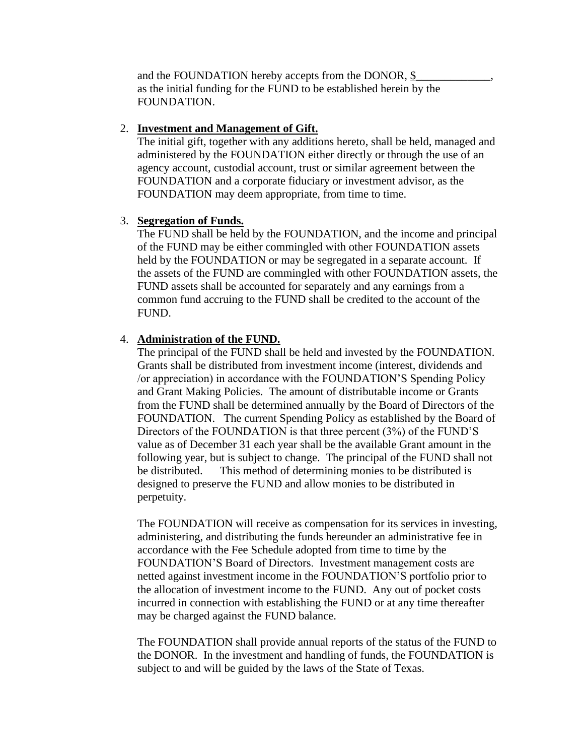and the FOUNDATION hereby accepts from the DONOR, \$ as the initial funding for the FUND to be established herein by the FOUNDATION.

#### 2. **Investment and Management of Gift.**

The initial gift, together with any additions hereto, shall be held, managed and administered by the FOUNDATION either directly or through the use of an agency account, custodial account, trust or similar agreement between the FOUNDATION and a corporate fiduciary or investment advisor, as the FOUNDATION may deem appropriate, from time to time.

## 3. **Segregation of Funds.**

The FUND shall be held by the FOUNDATION, and the income and principal of the FUND may be either commingled with other FOUNDATION assets held by the FOUNDATION or may be segregated in a separate account. If the assets of the FUND are commingled with other FOUNDATION assets, the FUND assets shall be accounted for separately and any earnings from a common fund accruing to the FUND shall be credited to the account of the FUND.

## 4. **Administration of the FUND.**

The principal of the FUND shall be held and invested by the FOUNDATION. Grants shall be distributed from investment income (interest, dividends and /or appreciation) in accordance with the FOUNDATION'S Spending Policy and Grant Making Policies. The amount of distributable income or Grants from the FUND shall be determined annually by the Board of Directors of the FOUNDATION. The current Spending Policy as established by the Board of Directors of the FOUNDATION is that three percent (3%) of the FUND'S value as of December 31 each year shall be the available Grant amount in the following year, but is subject to change. The principal of the FUND shall not be distributed. This method of determining monies to be distributed is designed to preserve the FUND and allow monies to be distributed in perpetuity.

The FOUNDATION will receive as compensation for its services in investing, administering, and distributing the funds hereunder an administrative fee in accordance with the Fee Schedule adopted from time to time by the FOUNDATION'S Board of Directors. Investment management costs are netted against investment income in the FOUNDATION'S portfolio prior to the allocation of investment income to the FUND. Any out of pocket costs incurred in connection with establishing the FUND or at any time thereafter may be charged against the FUND balance.

The FOUNDATION shall provide annual reports of the status of the FUND to the DONOR. In the investment and handling of funds, the FOUNDATION is subject to and will be guided by the laws of the State of Texas.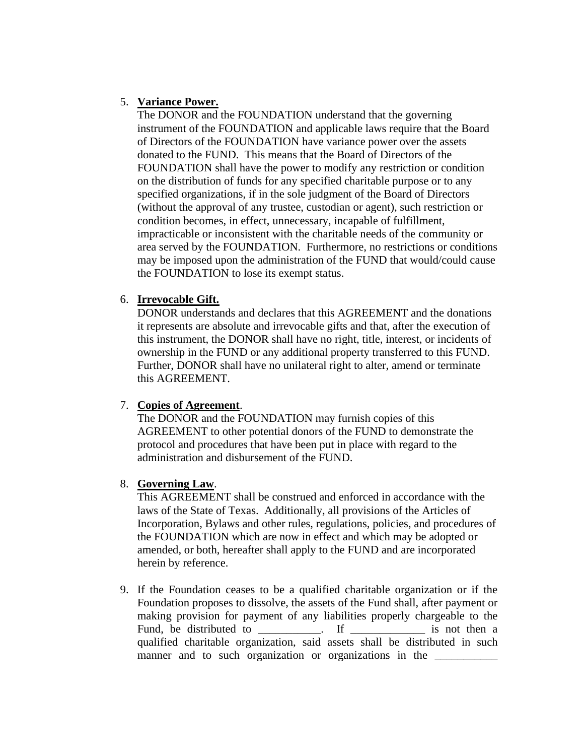## 5. **Variance Power.**

The DONOR and the FOUNDATION understand that the governing instrument of the FOUNDATION and applicable laws require that the Board of Directors of the FOUNDATION have variance power over the assets donated to the FUND. This means that the Board of Directors of the FOUNDATION shall have the power to modify any restriction or condition on the distribution of funds for any specified charitable purpose or to any specified organizations, if in the sole judgment of the Board of Directors (without the approval of any trustee, custodian or agent), such restriction or condition becomes, in effect, unnecessary, incapable of fulfillment, impracticable or inconsistent with the charitable needs of the community or area served by the FOUNDATION. Furthermore, no restrictions or conditions may be imposed upon the administration of the FUND that would/could cause the FOUNDATION to lose its exempt status.

## 6. **Irrevocable Gift.**

DONOR understands and declares that this AGREEMENT and the donations it represents are absolute and irrevocable gifts and that, after the execution of this instrument, the DONOR shall have no right, title, interest, or incidents of ownership in the FUND or any additional property transferred to this FUND. Further, DONOR shall have no unilateral right to alter, amend or terminate this AGREEMENT.

# 7. **Copies of Agreement**.

The DONOR and the FOUNDATION may furnish copies of this AGREEMENT to other potential donors of the FUND to demonstrate the protocol and procedures that have been put in place with regard to the administration and disbursement of the FUND.

# 8. **Governing Law**.

This AGREEMENT shall be construed and enforced in accordance with the laws of the State of Texas. Additionally, all provisions of the Articles of Incorporation, Bylaws and other rules, regulations, policies, and procedures of the FOUNDATION which are now in effect and which may be adopted or amended, or both, hereafter shall apply to the FUND and are incorporated herein by reference.

9. If the Foundation ceases to be a qualified charitable organization or if the Foundation proposes to dissolve, the assets of the Fund shall, after payment or making provision for payment of any liabilities properly chargeable to the Fund, be distributed to \_\_\_\_\_\_\_\_\_\_\_. If \_\_\_\_\_\_\_\_\_\_\_\_\_\_\_\_ is not then a qualified charitable organization, said assets shall be distributed in such manner and to such organization or organizations in the \_\_\_\_\_\_\_\_\_\_\_\_\_\_\_\_\_\_\_\_\_\_\_\_